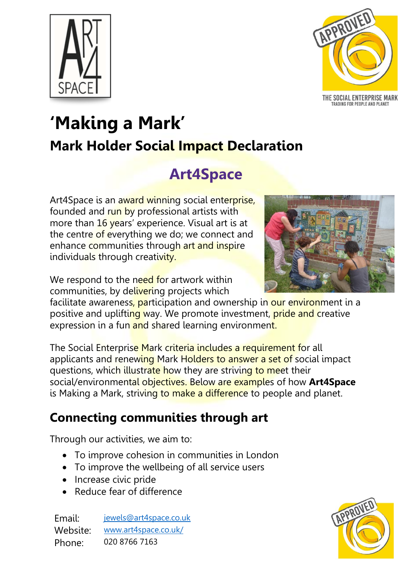



THE SOCIAL ENTERPRISE MARK<br>TRADING FOR PEOPLE AND PLANET

# **'Making a Mark' Mark Holder Social Impact Declaration**

## **Art4Space**

Art4Space is an award winning social enterprise, founded and run by professional artists with more than 16 years' experience. Visual art is at the centre of everything we do; we connect and enhance communities through art and inspire individuals through creativity.

We respond to the need for artwork within communities, by delivering projects which

facilitate awareness, participation and ownership in our environment in a positive and uplifting way. We promote investment, **pride and creative** expression in a fun and shared learning environment.

The Social Enterprise Mark criteria includes a requirement for all applicants and renewing Mark Holders to answer a set of social impact questions, which illustrate how they are striving to meet their social/environmental objectives. Below are examples of how **Art4Space** is Making a Mark, striving to make a difference to people and planet.

#### **Connecting communities through art**

Through our activities, we aim to:

- To improve cohesion in communities in London
- To improve the wellbeing of all service users
- Increase civic pride
- Reduce fear of difference

Email: [jewels@art4space.co.uk](mailto:jewels@art4space.co.uk) Website: [www.art4space.co.uk/](http://www.art4space.co.uk/) Phone: 020 8766 7163